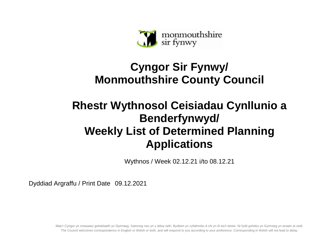

## **Cyngor Sir Fynwy/ Monmouthshire County Council**

## **Rhestr Wythnosol Ceisiadau Cynllunio a Benderfynwyd/ Weekly List of Determined Planning Applications**

Wythnos / Week 02.12.21 i/to 08.12.21

Dyddiad Argraffu / Print Date 09.12.2021

Mae'r Cyngor yn croesawu gohebiaeth yn Gymraeg, Saesneg neu yn y ddwy iaith. Byddwn yn cyfathrebu â chi yn ôl eich dewis. Ni fydd gohebu yn Gymraeg yn arwain at oedi. The Council welcomes correspondence in English or Welsh or both, and will respond to you according to your preference. Corresponding in Welsh will not lead to delay.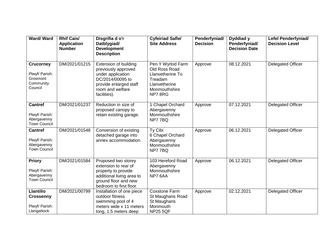| <b>Ward/Ward</b>                                                       | <b>Rhif Cais/</b><br><b>Application</b><br><b>Number</b> | Disgrifia d o'r<br>Datblygiad/<br><b>Development</b><br><b>Description</b>                                                                                 | <b>Cyfeiriad Safle/</b><br><b>Site Address</b>                                                                | Penderfyniad/<br><b>Decision</b> | Dyddiad y<br>Penderfyniad/<br><b>Decision Date</b> | <b>Lefel Penderfyniad/</b><br><b>Decision Level</b> |
|------------------------------------------------------------------------|----------------------------------------------------------|------------------------------------------------------------------------------------------------------------------------------------------------------------|---------------------------------------------------------------------------------------------------------------|----------------------------------|----------------------------------------------------|-----------------------------------------------------|
| <b>Crucorney</b><br>Plwyf/ Parish:<br>Grosmont<br>Community<br>Council | DM/2021/01215                                            | <b>Extension of building</b><br>previously approved<br>under application<br>DC/2014/00095 to<br>provide enlarged staff<br>room and welfare<br>facilities). | Pen Y Wyrlod Farm<br>Old Ross Road<br>Llanvetherine To<br>Treadam<br>Llanvetherine<br>Monmouthshire<br>NP78RG | Approve                          | 08.12.2021                                         | <b>Delegated Officer</b>                            |
| <b>Cantref</b><br>Plwyf/ Parish:<br>Abergavenny<br><b>Town Council</b> | DM/2021/01237                                            | Reduction in size of<br>proposed canopy to<br>retain existing garage.                                                                                      | 1 Chapel Orchard<br>Abergavenny<br>Monmouthshire<br>NP77BQ                                                    | Approve                          | 07.12.2021                                         | <b>Delegated Officer</b>                            |
| <b>Cantref</b><br>Plwyf/ Parish:<br>Abergavenny<br><b>Town Council</b> | DM/2021/01548                                            | Conversion of existing<br>detached garage into<br>annex accommodation.                                                                                     | Ty Cibi<br>6 Chapel Orchard<br>Abergavenny<br>Monmouthshire<br>NP77BQ                                         | Approve                          | 06.12.2021                                         | <b>Delegated Officer</b>                            |
| <b>Priory</b><br>Plwyf/ Parish:<br>Abergavenny<br><b>Town Council</b>  | DM/2021/01584                                            | Proposed two storey<br>extension to rear of<br>property to provide<br>additional living area to<br>ground floor and new<br>bedroom to first floor.         | 103 Hereford Road<br>Abergavenny<br>Monmouthshire<br>NP7 6AA                                                  | Approve                          | 06.12.2021                                         | <b>Delegated Officer</b>                            |
| <b>Llantilio</b><br><b>Crossenny</b><br>Plwyf/ Parish:<br>Llangattock  | DM/2021/00799                                            | Installation of one piece<br>outdoor fitness<br>swimming pool of 4<br>meters wide x 11 meters<br>long, 1.5 meters deep                                     | <b>Coxstone Farm</b><br>St Maughans Road<br>St Maughans<br>Monmouth<br><b>NP25 5QF</b>                        | Approve                          | 02.12.2021                                         | <b>Delegated Officer</b>                            |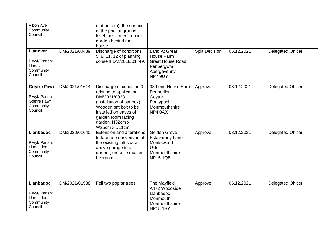| Vibon Avel<br>Community<br>Council                                          |               | (flat bottom), the surface<br>of the pool at ground<br>level, positioned in back<br>garden behind the<br>house.                                                                                                |                                                                                                       |                       |            |                          |
|-----------------------------------------------------------------------------|---------------|----------------------------------------------------------------------------------------------------------------------------------------------------------------------------------------------------------------|-------------------------------------------------------------------------------------------------------|-----------------------|------------|--------------------------|
| <b>Llanover</b><br>Plwyf/ Parish:<br>Llanover<br>Community<br>Council       | DM/2021/00489 | Discharge of conditions<br>5, 8, 11, 12 of planning<br>consent DM/2018/01449.                                                                                                                                  | <b>Land At Great</b><br>House Farm<br><b>Great House Road</b><br>Penpergwm<br>Abergavenny<br>NP7 9UY  | <b>Split Decision</b> | 06.12.2021 | <b>Delegated Officer</b> |
| <b>Goytre Fawr</b><br>Plwyf/ Parish:<br>Goetre Fawr<br>Community<br>Council | DM/2021/01614 | Discharge of condition 3<br>relating to application<br>DM/2021/00381<br>(installation of bat box).<br>Wooden bat box to be<br>installed on eaves of<br>garden room facing<br>garden. H32cm x<br>W25cm x D11cm. | 33 Long House Barn<br>Penperlleni<br>Goytre<br>Pontypool<br>Monmouthshire<br>NP4 0AX                  | Approve               | 08.12.2021 | <b>Delegated Officer</b> |
| <b>Llanbadoc</b><br>Plwyf/ Parish:<br>Llanbadoc<br>Community<br>Council     | DM/2020/01640 | <b>Extension and alterations</b><br>to facilitate conversion of<br>the existing loft space<br>above garage to a<br>dormer, en-suite master<br>bedroom.                                                         | Golden Grove<br><b>Estavarney Lane</b><br>Monkswood<br><b>Usk</b><br>Monmouthshire<br><b>NP15 1QE</b> | Approve               | 08.12.2021 | <b>Delegated Officer</b> |
| <b>Llanbadoc</b><br>Plwyf/ Parish:<br>Llanbadoc<br>Community<br>Council     | DM/2021/01938 | Fell two poplar trees.                                                                                                                                                                                         | The Mayfield<br>A472 Woodside<br>Llanbadoc<br>Monmouth<br>Monmouthshire<br><b>NP15 1SY</b>            | Approve               | 06.12.2021 | <b>Delegated Officer</b> |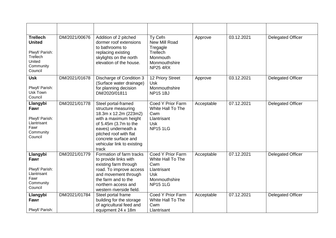| <b>Trellech</b><br><b>United</b><br>Plwyf/ Parish:<br>Trellech<br>United<br>Community<br>Council | DM/2021/00676 | Addition of 2 pitched<br>dormer roof extensions<br>to bathrooms to<br>replacing existing<br>skylights on the north<br>elevation of the house.                                                                                         | Ty Cefn<br>New Mill Road<br>Tregagle<br>Trellech<br>Monmouth<br>Monmouthshire<br><b>NP25 4RX</b>               | Approve    | 03.12.2021 | <b>Delegated Officer</b> |
|--------------------------------------------------------------------------------------------------|---------------|---------------------------------------------------------------------------------------------------------------------------------------------------------------------------------------------------------------------------------------|----------------------------------------------------------------------------------------------------------------|------------|------------|--------------------------|
| <b>Usk</b><br>Plwyf/ Parish:<br>Usk Town<br>Council                                              | DM/2021/01678 | Discharge of Condition 3<br>(Surface water drainage)<br>for planning decision<br>DM/2020/01811                                                                                                                                        | 12 Priory Street<br><b>Usk</b><br>Monmouthshire<br><b>NP15 1BJ</b>                                             | Approve    | 03.12.2021 | <b>Delegated Officer</b> |
| Llangybi<br>Fawr<br>Plwyf/ Parish:<br>Llantrisant<br>Fawr<br>Community<br>Council                | DM/2021/01778 | Steel portal-framed<br>structure measuring<br>18.3m x 12.2m (223m2)<br>with a maximum height<br>of 5.45m (3.7m to the<br>eaves) underneath a<br>pitched roof with flat<br>concrete surface and<br>vehicular link to existing<br>track | Coed Y Prior Farm<br>White Hall To The<br>Cwm<br>Llantrisant<br>Usk<br><b>NP15 1LG</b>                         | Acceptable | 07.12.2021 | <b>Delegated Officer</b> |
| Llangybi<br>Fawr<br>Plwyf/ Parish:<br>Llantrisant<br>Fawr<br>Community<br>Council                | DM/2021/01779 | Formation of farm tracks<br>to provide links with<br>existing farm through<br>road. To improve access<br>and movement through<br>the farm and to the<br>northern access and<br>western riverside field.                               | Coed Y Prior Farm<br>White Hall To The<br>Cwm<br>Llantrisant<br><b>Usk</b><br>Monmouthshire<br><b>NP15 1LG</b> | Acceptable | 07.12.2021 | <b>Delegated Officer</b> |
| Llangybi<br>Fawr<br>Plwyf/ Parish:                                                               | DM/2021/01784 | Steel portal frame<br>building for the storage<br>of agricultural feed and<br>equipment 24 x 18m                                                                                                                                      | Coed Y Prior Farm<br>White Hall To The<br>Cwm<br>Llantrisant                                                   | Acceptable | 07.12.2021 | <b>Delegated Officer</b> |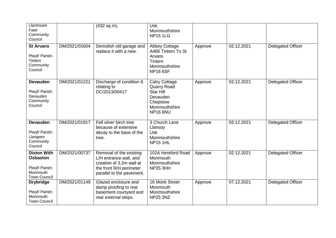| Llantrisant<br>Fawr<br>Community<br>Council                                                |               | (432 sq m).                                                                                                                           | <b>Usk</b><br>Monmouthshire<br><b>NP151LG</b>                                                                       |         |            |                          |
|--------------------------------------------------------------------------------------------|---------------|---------------------------------------------------------------------------------------------------------------------------------------|---------------------------------------------------------------------------------------------------------------------|---------|------------|--------------------------|
| <b>St Arvans</b><br>Plwyf/ Parish:<br>Tintern<br>Community<br>Council                      | DM/2021/01604 | Demolish old garage and<br>replace it with a new.                                                                                     | <b>Abbey Cottage</b><br>A466 Tintern To St<br>Arvans<br>Tintern<br>Monmouthshire<br><b>NP16 6SF</b>                 | Approve | 02.12.2021 | <b>Delegated Officer</b> |
| <b>Devauden</b><br>Plwyf/ Parish:<br>Devauden<br>Community<br>Council                      | DM/2021/01221 | Discharge of condition 6<br>relating to<br>DC/2013/00417                                                                              | <b>Catry Cottage</b><br><b>Quarry Road</b><br><b>Star Hill</b><br>Devauden<br>Chepstow<br>Monmouthshire<br>NP16 6NU | Approve | 02.12.2021 | <b>Delegated Officer</b> |
| <b>Devauden</b><br>Plwyf/ Parish:<br>Llangwm<br>Community<br>Council                       | DM/2021/01917 | Fell silver birch tree<br>because of extensive<br>decay to the base of the<br>tree.                                                   | 3 Church Lane<br>Llansoy<br><b>Usk</b><br>Monmouthshire<br><b>NP15 1HL</b>                                          | Approve | 03.12.2021 | <b>Delegated Officer</b> |
| <b>Dixton With</b><br><b>Osbaston</b><br>Plwyf/ Parish:<br>Monmouth<br><b>Town Council</b> | DM/2021/00737 | Removal of the existing<br>L/H entrance wall, and<br>creation of 3.2m wall at<br>the front R/H perimeter<br>parallel to the pavement. | 102A Hereford Road<br>Monmouth<br>Monmouthshire<br><b>NP25 3HH</b>                                                  | Approve | 02.12.2021 | <b>Delegated Officer</b> |
| <b>Drybridge</b><br>Plwyf/ Parish:<br>Monmouth<br><b>Town Council</b>                      | DM/2021/01149 | Glazed enclosure and<br>damp proofing to rear<br>basement courtyard and<br>rear external steps.                                       | 16 Monk Street<br>Monmouth<br>Monmouthshire<br><b>NP25 3NZ</b>                                                      | Approve | 07.12.2021 | <b>Delegated Officer</b> |